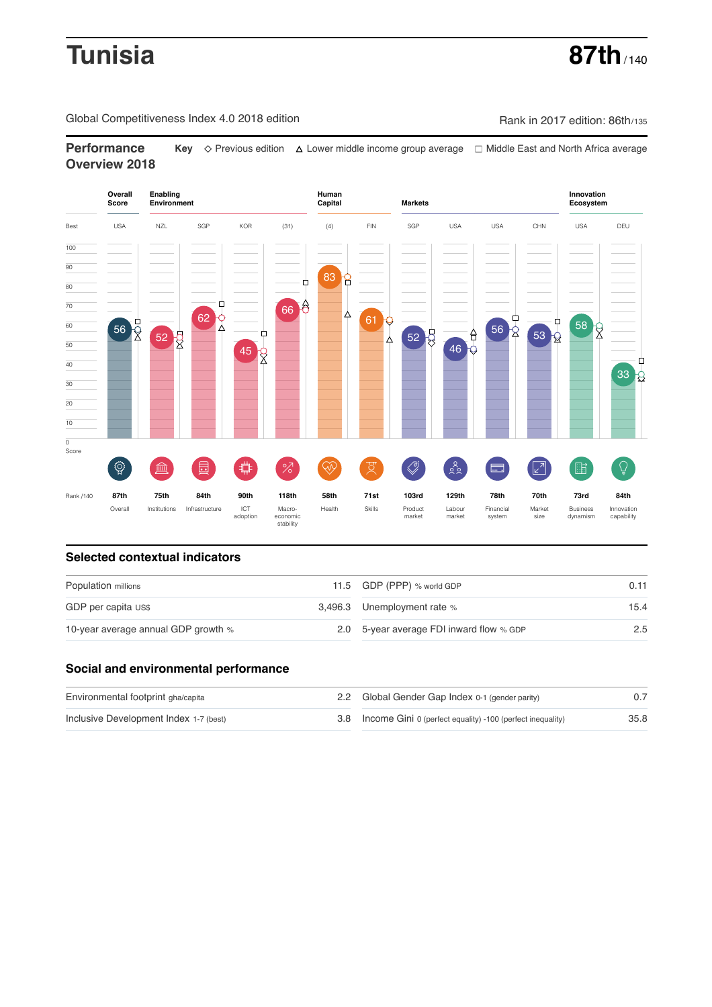# **Tunisia 87th**

Global Competitiveness Index 4.0 2018 edition Company Rank in 2017 edition: 86th/135

**Performance Key** Previous edition Lower middle income group average Middle East and North Africa average **Overview 2018**



## **Selected contextual indicators**

| Population millions                 |  | 11.5 GDP (PPP) % world GDP               | 0.11 |  |
|-------------------------------------|--|------------------------------------------|------|--|
| GDP per capita US\$                 |  | 3,496.3 Unemployment rate %              | 15.4 |  |
| 10-year average annual GDP growth % |  | 2.0 5-year average FDI inward flow % GDP | 2.5  |  |

# **Social and environmental performance**

| Environmental footprint gha/capita     | 2.2 Global Gender Gap Index 0-1 (gender parity)                |      |
|----------------------------------------|----------------------------------------------------------------|------|
| Inclusive Development Index 1-7 (best) | 3.8 Income Gini 0 (perfect equality) -100 (perfect inequality) | 35.8 |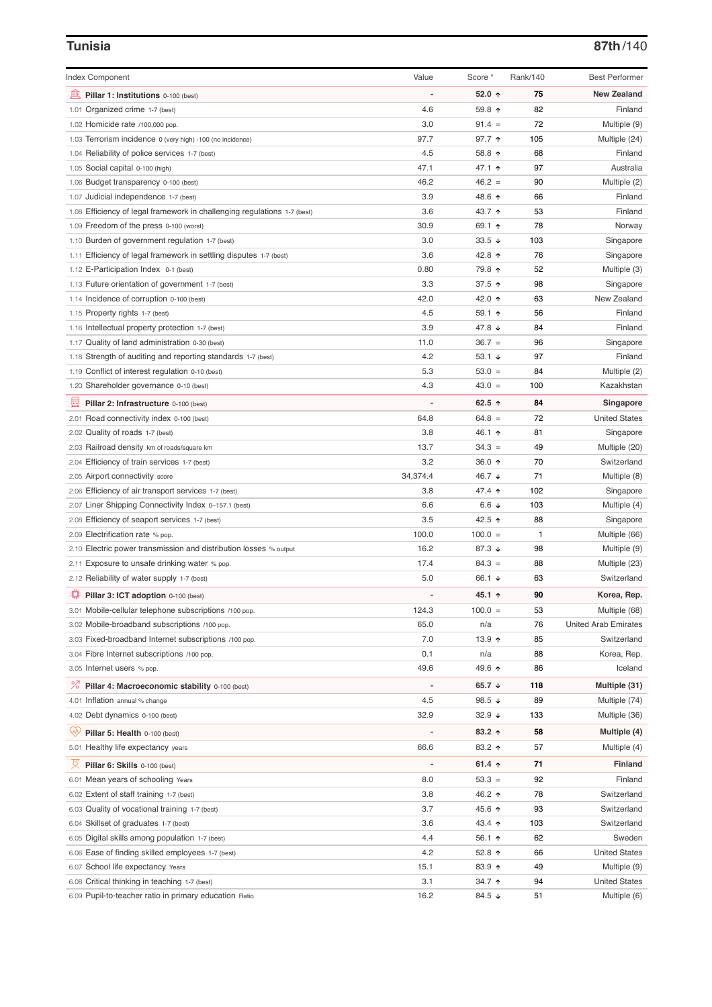# **Tunisia 87th**/140

| <b>Index Component</b>                                                                       | Value    | Score *          | Rank/140 | <b>Best Performer</b>        |
|----------------------------------------------------------------------------------------------|----------|------------------|----------|------------------------------|
|                                                                                              |          |                  |          |                              |
| 無<br>Pillar 1: Institutions 0-100 (best)                                                     |          | 52.0 $\uparrow$  | 75       | <b>New Zealand</b>           |
| 1.01 Organized crime 1-7 (best)                                                              | 4.6      | 59.8 个           | 82       | Finland                      |
| 1.02 Homicide rate /100,000 pop.                                                             | 3.0      | $91.4 =$         | 72       | Multiple (9)                 |
| 1.03 Terrorism incidence 0 (very high) -100 (no incidence)                                   | 97.7     | $97.7$ ↑         | 105      | Multiple (24)                |
| 1.04 Reliability of police services 1-7 (best)                                               | 4.5      | 58.8 ↑           | 68       | Finland                      |
| 1.05 Social capital 0-100 (high)                                                             | 47.1     | 47.1 ↑           | 97       | Australia                    |
| 1.06 Budget transparency 0-100 (best)                                                        | 46.2     | $46.2 =$         | 90       | Multiple (2)                 |
| 1.07 Judicial independence 1-7 (best)                                                        | 3.9      | 48.6 ↑           | 66       | Finland                      |
| 1.08 Efficiency of legal framework in challenging regulations 1-7 (best)                     | 3.6      | 43.7 ↑           | 53       | Finland                      |
| 1.09 Freedom of the press 0-100 (worst)                                                      | 30.9     | 69.1 $\uparrow$  | 78       | Norway                       |
| 1.10 Burden of government regulation 1-7 (best)                                              | 3.0      | 33.5 $\sqrt{ }$  | 103      | Singapore                    |
| 1.11 Efficiency of legal framework in settling disputes 1-7 (best)                           | 3.6      | 42.8 ↑           | 76       | Singapore                    |
| 1.12 E-Participation Index 0-1 (best)                                                        | 0.80     | 79.8 ↑           | 52       | Multiple (3)                 |
| 1.13 Future orientation of government 1-7 (best)                                             | 3.3      | 37.5 ↑           | 98       | Singapore                    |
| 1.14 Incidence of corruption 0-100 (best)                                                    | 42.0     | 42.0 ↑           | 63       | New Zealand                  |
| 1.15 Property rights 1-7 (best)                                                              | 4.5      | $59.1$ 1         | 56       | Finland                      |
| 1.16 Intellectual property protection 1-7 (best)                                             | 3.9      | 47.8 $\sqrt{ }$  | 84       | Finland                      |
| 1.17 Quality of land administration 0-30 (best)                                              | 11.0     | $36.7 =$         | 96       | Singapore                    |
| 1.18 Strength of auditing and reporting standards 1-7 (best)                                 | 4.2      | 53.1 $\sqrt{ }$  | 97       | Finland                      |
| 1.19 Conflict of interest regulation 0-10 (best)                                             | 5.3      | $53.0 =$         | 84       | Multiple (2)                 |
| 1.20 Shareholder governance 0-10 (best)                                                      | 4.3      | $43.0 =$         | 100      | Kazakhstan                   |
| 囩<br>Pillar 2: Infrastructure 0-100 (best)                                                   |          | 62.5 $\uparrow$  | 84       | Singapore                    |
| 2.01 Road connectivity index 0-100 (best)                                                    | 64.8     | $64.8 =$         | 72       | <b>United States</b>         |
| 2.02 Quality of roads 1-7 (best)                                                             | 3.8      | 46.1 ተ           | 81       | Singapore                    |
| 2.03 Railroad density km of roads/square km                                                  | 13.7     | $34.3 =$         | 49       | Multiple (20)                |
| 2.04 Efficiency of train services 1-7 (best)                                                 | 3.2      | 36.0 ↑           | 70       | Switzerland                  |
| 2.05 Airport connectivity score                                                              | 34,374.4 | 46.7 ↓           | 71       | Multiple (8)                 |
| 2.06 Efficiency of air transport services 1-7 (best)                                         | 3.8      | 47.4 ↑           | 102      | Singapore                    |
| 2.07 Liner Shipping Connectivity Index 0-157.1 (best)                                        | 6.6      | 6.6 $\downarrow$ | 103      | Multiple (4)                 |
| 2.08 Efficiency of seaport services 1-7 (best)                                               | 3.5      | 42.5 ↑           | 88       | Singapore                    |
| 2.09 Electrification rate % pop.                                                             | 100.0    | $100.0 =$        | 1        | Multiple (66)                |
|                                                                                              | 16.2     | 87.3 ↓           | 98       |                              |
| 2.10 Electric power transmission and distribution losses % output                            | 17.4     | $84.3 =$         | 88       | Multiple (9)                 |
| 2.11 Exposure to unsafe drinking water % pop.<br>2.12 Reliability of water supply 1-7 (best) |          |                  |          | Multiple (23)<br>Switzerland |
|                                                                                              | 5.0      | 66.1 $\sqrt{ }$  | 63       |                              |
| ₩<br>Pillar 3: ICT adoption 0-100 (best)                                                     |          | 45.1 ↑           | 90       | Korea, Rep.                  |
| 3.01 Mobile-cellular telephone subscriptions /100 pop.                                       | 124.3    | $100.0 =$        | 53       | Multiple (68)                |
| 3.02 Mobile-broadband subscriptions /100 pop.                                                | 65.0     | n/a              | 76       | <b>United Arab Emirates</b>  |
| 3.03 Fixed-broadband Internet subscriptions /100 pop.                                        | 7.0      | 13.9 $\uparrow$  | 85       | Switzerland                  |
| 3.04 Fibre Internet subscriptions /100 pop.                                                  | 0.1      | n/a              | 88       | Korea, Rep.                  |
| 3.05 Internet users % pop.                                                                   | 49.6     | 49.6 ↑           | 86       | Iceland                      |
| <sup>%</sup> Pillar 4: Macroeconomic stability 0-100 (best)                                  |          | 65.7 $\sqrt{ }$  | 118      | Multiple (31)                |
| 4.01 Inflation annual % change                                                               | 4.5      | 98.5 $\sqrt{ }$  | 89       | Multiple (74)                |
| 4.02 Debt dynamics 0-100 (best)                                                              | 32.9     | $32.9 +$         | 133      | Multiple (36)                |
| ųÿ<br>Pillar 5: Health 0-100 (best)                                                          |          | $83.2$ 1         | 58       | Multiple (4)                 |
| 5.01 Healthy life expectancy years                                                           | 66.6     | 83.2 ↑           | 57       | Multiple (4)                 |
| 섯                                                                                            |          |                  |          |                              |
| Pillar 6: Skills 0-100 (best)                                                                |          | 61.4 $\uparrow$  | 71       | <b>Finland</b>               |
| 6.01 Mean years of schooling Years                                                           | 8.0      | $53.3 =$         | 92       | Finland                      |
| 6.02 Extent of staff training 1-7 (best)                                                     | 3.8      | 46.2 ↑           | 78       | Switzerland                  |
| 6.03 Quality of vocational training 1-7 (best)                                               | 3.7      | 45.6 ↑           | 93       | Switzerland                  |
| 6.04 Skillset of graduates 1-7 (best)                                                        | 3.6      | 43.4 1           | 103      | Switzerland                  |
| 6.05 Digital skills among population 1-7 (best)                                              | 4.4      | 56.1 $\uparrow$  | 62       | Sweden                       |
| Ease of finding skilled employees 1-7 (best)<br>6.06                                         | 4.2      | 52.8 $\uparrow$  | 66       | <b>United States</b>         |
| School life expectancy Years<br>6.07                                                         | 15.1     | 83.9 个           | 49       | Multiple (9)                 |
| 6.08 Critical thinking in teaching 1-7 (best)                                                | 3.1      | 34.7 ↑           | 94       | <b>United States</b>         |
| 6.09 Pupil-to-teacher ratio in primary education Ratio                                       | 16.2     | 84.5 ↓           | 51       | Multiple (6)                 |